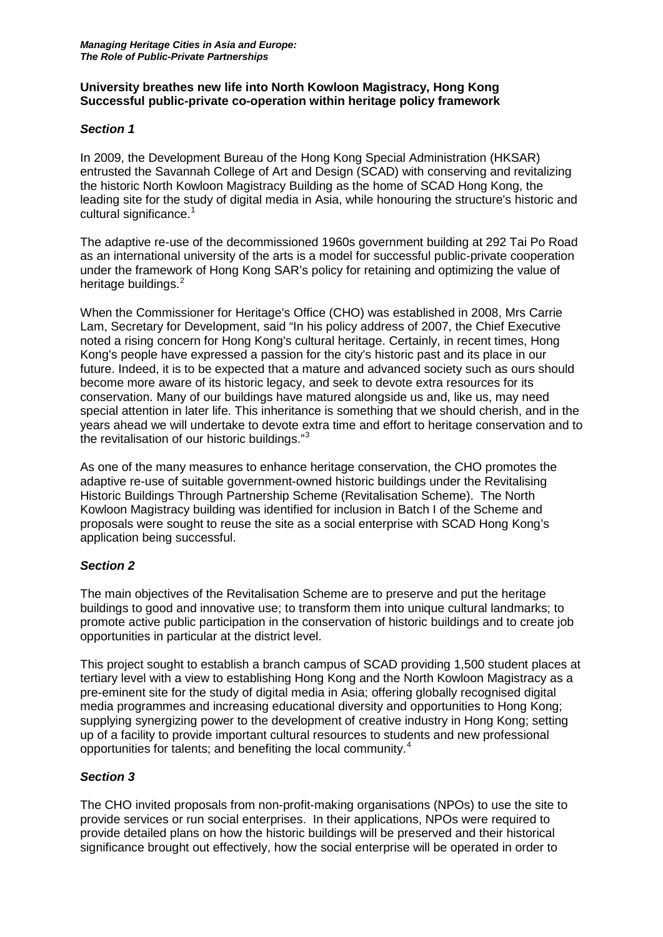## **University breathes new life into North Kowloon Magistracy, Hong Kong Successful public-private co-operation within heritage policy framework**

## *Section 1*

In 2009, the Development Bureau of the Hong Kong Special Administration (HKSAR) entrusted the Savannah College of Art and Design (SCAD) with conserving and revitalizing the historic North Kowloon Magistracy Building as the home of SCAD Hong Kong, the leading site for the study of digital media in Asia, while honouring the structure's historic and cultural significance.<sup>[1](#page-3-0)</sup>

The adaptive re-use of the decommissioned 1960s government building at 292 Tai Po Road as an international university of the arts is a model for successful public-private cooperation under the framework of Hong Kong SAR's policy for retaining and optimizing the value of heritage buildings.<sup>[2](#page-3-1)</sup>

When the Commissioner for Heritage's Office (CHO) was established in 2008, Mrs Carrie Lam, Secretary for Development, said "In his policy address of 2007, the Chief Executive noted a rising concern for Hong Kong's cultural heritage. Certainly, in recent times, Hong Kong's people have expressed a passion for the city's historic past and its place in our future. Indeed, it is to be expected that a mature and advanced society such as ours should become more aware of its historic legacy, and seek to devote extra resources for its conservation. Many of our buildings have matured alongside us and, like us, may need special attention in later life. This inheritance is something that we should cherish, and in the years ahead we will undertake to devote extra time and effort to heritage conservation and to the revitalisation of our historic buildings."[3](#page-3-2)

As one of the many measures to enhance heritage conservation, the CHO promotes the adaptive re-use of suitable government-owned historic buildings under the Revitalising Historic Buildings Through Partnership Scheme (Revitalisation Scheme). The North Kowloon Magistracy building was identified for inclusion in Batch I of the Scheme and proposals were sought to reuse the site as a social enterprise with SCAD Hong Kong's application being successful.

# *Section 2*

The main objectives of the Revitalisation Scheme are to preserve and put the heritage buildings to good and innovative use; to transform them into unique cultural landmarks; to promote active public participation in the conservation of historic buildings and to create job opportunities in particular at the district level.

This project sought to establish a branch campus of SCAD providing 1,500 student places at tertiary level with a view to establishing Hong Kong and the North Kowloon Magistracy as a pre-eminent site for the study of digital media in Asia; offering globally recognised digital media programmes and increasing educational diversity and opportunities to Hong Kong; supplying synergizing power to the development of creative industry in Hong Kong; setting up of a facility to provide important cultural resources to students and new professional opportunities for talents; and benefiting the local community.[4](#page-3-3)

### *Section 3*

The CHO invited proposals from non-profit-making organisations (NPOs) to use the site to provide services or run social enterprises. In their applications, NPOs were required to provide detailed plans on how the historic buildings will be preserved and their historical significance brought out effectively, how the social enterprise will be operated in order to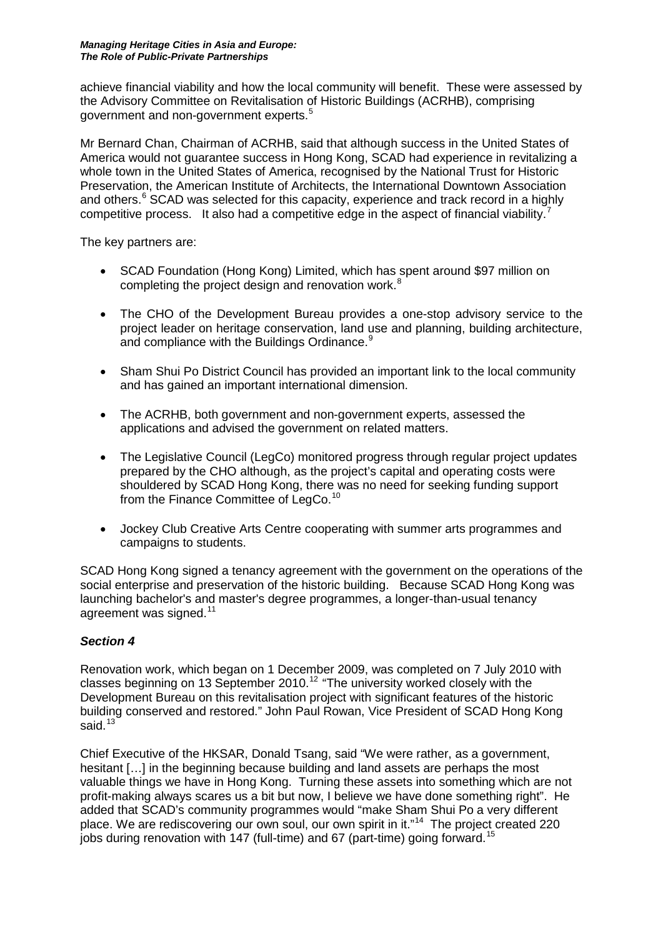#### *Managing Heritage Cities in Asia and Europe: The Role of Public-Private Partnerships*

achieve financial viability and how the local community will benefit. These were assessed by the Advisory Committee on Revitalisation of Historic Buildings (ACRHB), comprising government and non-government experts.<sup>[5](#page-3-4)</sup>

Mr Bernard Chan, Chairman of ACRHB, said that although success in the United States of America would not guarantee success in Hong Kong, SCAD had experience in revitalizing a whole town in the United States of America, recognised by the National Trust for Historic Preservation, the American Institute of Architects, the International Downtown Association and others.<sup>[6](#page-3-5)</sup> SCAD was selected for this capacity, experience and track record in a highly competitive process. It also had a competitive edge in the aspect of financial viability.<sup>[7](#page-3-6)</sup>

The key partners are:

- SCAD Foundation (Hong Kong) Limited, which has spent around \$97 million on completing the project design and renovation work.<sup>[8](#page-3-7)</sup>
- The CHO of the Development Bureau provides a one-stop advisory service to the project leader on heritage conservation, land use and planning, building architecture, and compliance with the Buildings Ordinance.<sup>[9](#page-3-8)</sup>
- Sham Shui Po District Council has provided an important link to the local community and has gained an important international dimension.
- The ACRHB, both government and non-government experts, assessed the applications and advised the government on related matters.
- The Legislative Council (LegCo) monitored progress through regular project updates prepared by the CHO although, as the project's capital and operating costs were shouldered by SCAD Hong Kong, there was no need for seeking funding support from the Finance Committee of LegCo.<sup>[10](#page-3-9)</sup>
- Jockey Club Creative Arts Centre cooperating with summer arts programmes and campaigns to students.

SCAD Hong Kong signed a tenancy agreement with the government on the operations of the social enterprise and preservation of the historic building. Because SCAD Hong Kong was launching bachelor's and master's degree programmes, a longer-than-usual tenancy agreement was signed.<sup>[11](#page-3-10)</sup>

### *Section 4*

Renovation work, which began on 1 December 2009, was completed on 7 July 2010 with classes beginning on 13 September 2010.<sup>12</sup> "The university worked closely with the Development Bureau on this revitalisation project with significant features of the historic building conserved and restored." John Paul Rowan, Vice President of SCAD Hong Kong said.<sup>[13](#page-3-12)</sup>

Chief Executive of the HKSAR, Donald Tsang, said "We were rather, as a government, hesitant […] in the beginning because building and land assets are perhaps the most valuable things we have in Hong Kong. Turning these assets into something which are not profit-making always scares us a bit but now, I believe we have done something right". He added that SCAD's community programmes would "make Sham Shui Po a very different place. We are rediscovering our own soul, our own spirit in it."<sup>[14](#page-3-13)</sup> The project created 220 jobs during renovation with 147 (full-time) and 67 (part-time) going forward.<sup>[15](#page-3-14)</sup>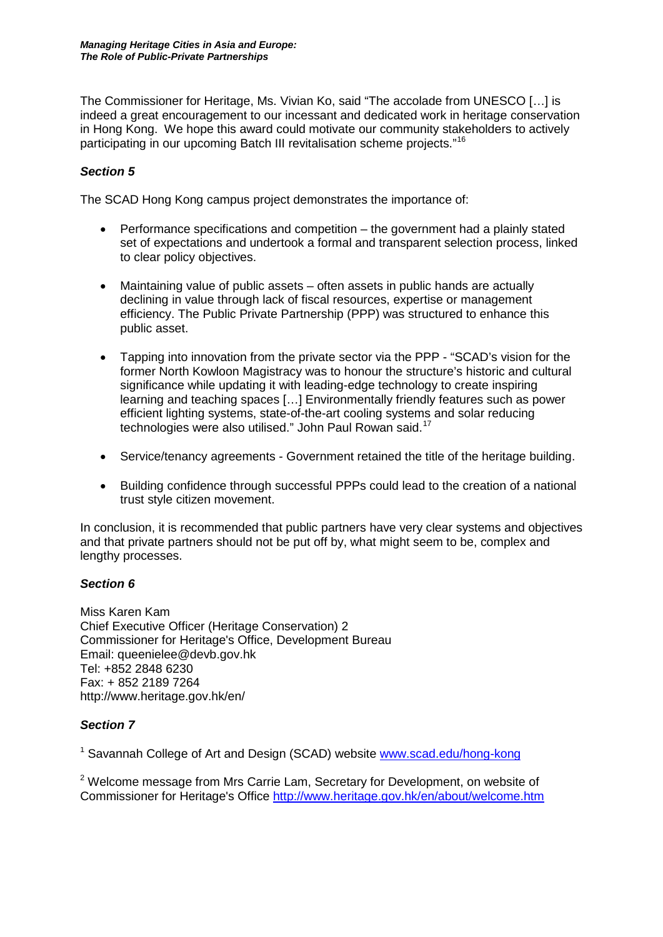The Commissioner for Heritage, Ms. Vivian Ko, said "The accolade from UNESCO […] is indeed a great encouragement to our incessant and dedicated work in heritage conservation in Hong Kong. We hope this award could motivate our community stakeholders to actively participating in our upcoming Batch III revitalisation scheme projects."[16](#page-3-15)

## *Section 5*

The SCAD Hong Kong campus project demonstrates the importance of:

- Performance specifications and competition the government had a plainly stated set of expectations and undertook a formal and transparent selection process, linked to clear policy objectives.
- Maintaining value of public assets often assets in public hands are actually declining in value through lack of fiscal resources, expertise or management efficiency. The Public Private Partnership (PPP) was structured to enhance this public asset.
- Tapping into innovation from the private sector via the PPP "SCAD's vision for the former North Kowloon Magistracy was to honour the structure's historic and cultural significance while updating it with leading-edge technology to create inspiring learning and teaching spaces […] Environmentally friendly features such as power efficient lighting systems, state-of-the-art cooling systems and solar reducing technologies were also utilised." John Paul Rowan said.<sup>[17](#page-3-16)</sup>
- Service/tenancy agreements Government retained the title of the heritage building.
- Building confidence through successful PPPs could lead to the creation of a national trust style citizen movement.

In conclusion, it is recommended that public partners have very clear systems and objectives and that private partners should not be put off by, what might seem to be, complex and lengthy processes.

### *Section 6*

Miss Karen Kam Chief Executive Officer (Heritage Conservation) 2 Commissioner for Heritage's Office, Development Bureau Email: queenielee@devb.gov.hk Tel: +852 2848 6230 Fax: + 852 2189 7264 http://www.heritage.gov.hk/en/

# *Section 7*

<sup>1</sup> Savannah College of Art and Design (SCAD) website [www.scad.edu/hong-kong](http://www.scad.edu/hong-kong)

 $2$  Welcome message from Mrs Carrie Lam, Secretary for Development, on website of Commissioner for Heritage's Office<http://www.heritage.gov.hk/en/about/welcome.htm>